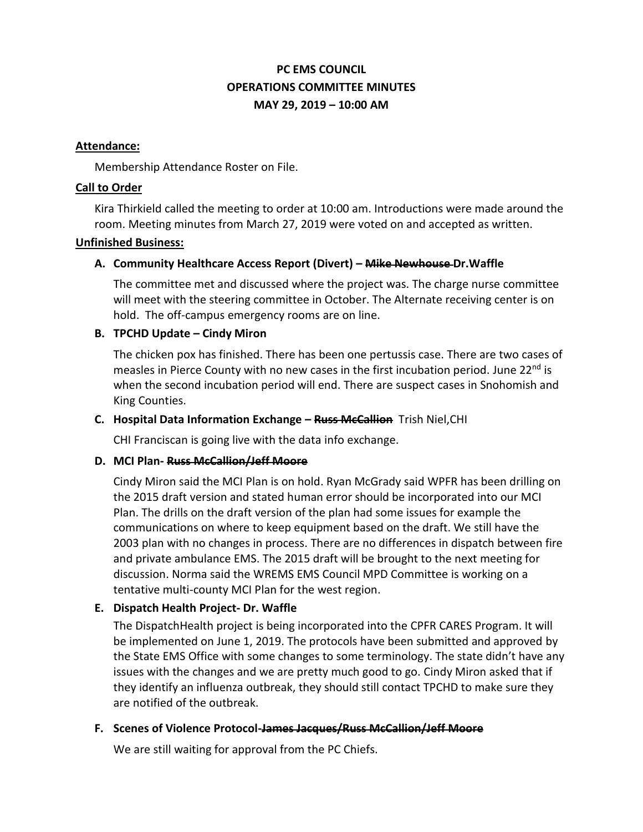# **PC EMS COUNCIL OPERATIONS COMMITTEE MINUTES MAY 29, 2019 – 10:00 AM**

#### **Attendance:**

Membership Attendance Roster on File.

#### **Call to Order**

Kira Thirkield called the meeting to order at 10:00 am. Introductions were made around the room. Meeting minutes from March 27, 2019 were voted on and accepted as written.

#### **Unfinished Business:**

## **A. Community Healthcare Access Report (Divert) – Mike Newhouse Dr.Waffle**

The committee met and discussed where the project was. The charge nurse committee will meet with the steering committee in October. The Alternate receiving center is on hold. The off-campus emergency rooms are on line.

## **B. TPCHD Update – Cindy Miron**

The chicken pox has finished. There has been one pertussis case. There are two cases of measles in Pierce County with no new cases in the first incubation period. June 22<sup>nd</sup> is when the second incubation period will end. There are suspect cases in Snohomish and King Counties.

## **C. Hospital Data Information Exchange – Russ McCallion** Trish Niel,CHI

CHI Franciscan is going live with the data info exchange.

## **D. MCI Plan- Russ McCallion/Jeff Moore**

Cindy Miron said the MCI Plan is on hold. Ryan McGrady said WPFR has been drilling on the 2015 draft version and stated human error should be incorporated into our MCI Plan. The drills on the draft version of the plan had some issues for example the communications on where to keep equipment based on the draft. We still have the 2003 plan with no changes in process. There are no differences in dispatch between fire and private ambulance EMS. The 2015 draft will be brought to the next meeting for discussion. Norma said the WREMS EMS Council MPD Committee is working on a tentative multi-county MCI Plan for the west region.

# **E. Dispatch Health Project- Dr. Waffle**

The DispatchHealth project is being incorporated into the CPFR CARES Program. It will be implemented on June 1, 2019. The protocols have been submitted and approved by the State EMS Office with some changes to some terminology. The state didn't have any issues with the changes and we are pretty much good to go. Cindy Miron asked that if they identify an influenza outbreak, they should still contact TPCHD to make sure they are notified of the outbreak.

## **F. Scenes of Violence Protocol-James Jacques/Russ McCallion/Jeff Moore**

We are still waiting for approval from the PC Chiefs.